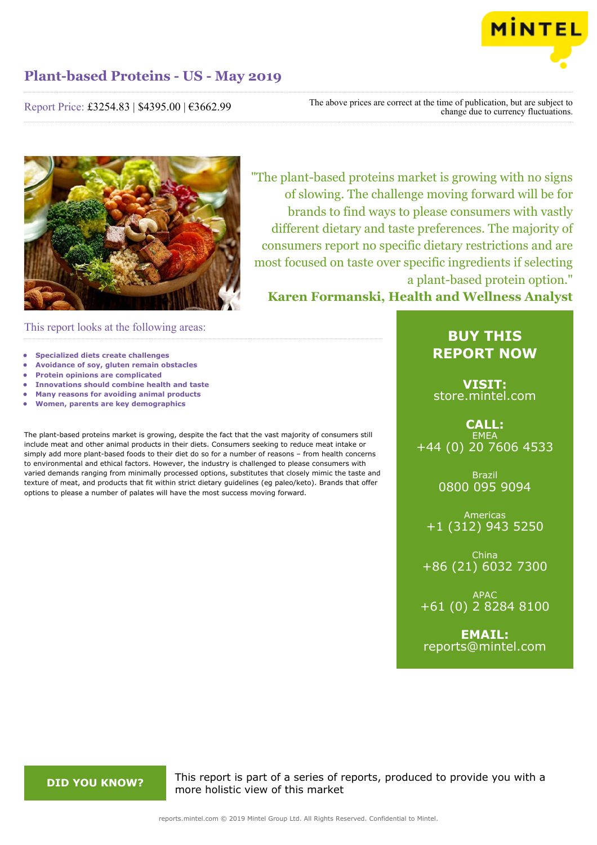

# Report Price: £3254.83 | \$4395.00 | €3662.99

The above prices are correct at the time of publication, but are subject to change due to currency fluctuations.



"The plant-based proteins market is growing with no signs of slowing. The challenge moving forward will be for brands to find ways to please consumers with vastly different dietary and taste preferences. The majority of consumers report no specific dietary restrictions and are most focused on taste over specific ingredients if selecting a plant-based protein option."

**Karen Formanski, Health and Wellness Analyst**

This report looks at the following areas:

- **• Specialized diets create challenges**
- **• Avoidance of soy, gluten remain obstacles**
- **• Protein opinions are complicated**
- **• Innovations should combine health and taste • Many reasons for avoiding animal products**
- **• Women, parents are key demographics**

The plant-based proteins market is growing, despite the fact that the vast majority of consumers still include meat and other animal products in their diets. Consumers seeking to reduce meat intake or simply add more plant-based foods to their diet do so for a number of reasons – from health concerns to environmental and ethical factors. However, the industry is challenged to please consumers with varied demands ranging from minimally processed options, substitutes that closely mimic the taste and texture of meat, and products that fit within strict dietary guidelines (eg paleo/keto). Brands that offer options to please a number of palates will have the most success moving forward.

# **BUY THIS REPORT NOW**

**VISIT:** [store.mintel.com](http://reports.mintel.com//display/store/919520/)

**CALL: EMEA** +44 (0) 20 7606 4533

> Brazil 0800 095 9094

Americas +1 (312) 943 5250

China +86 (21) 6032 7300

APAC +61 (0) 2 8284 8100

**EMAIL:** [reports@mintel.com](mailto:reports@mintel.com)

**DID YOU KNOW?** This report is part of a series of reports, produced to provide you with a more holistic view of this market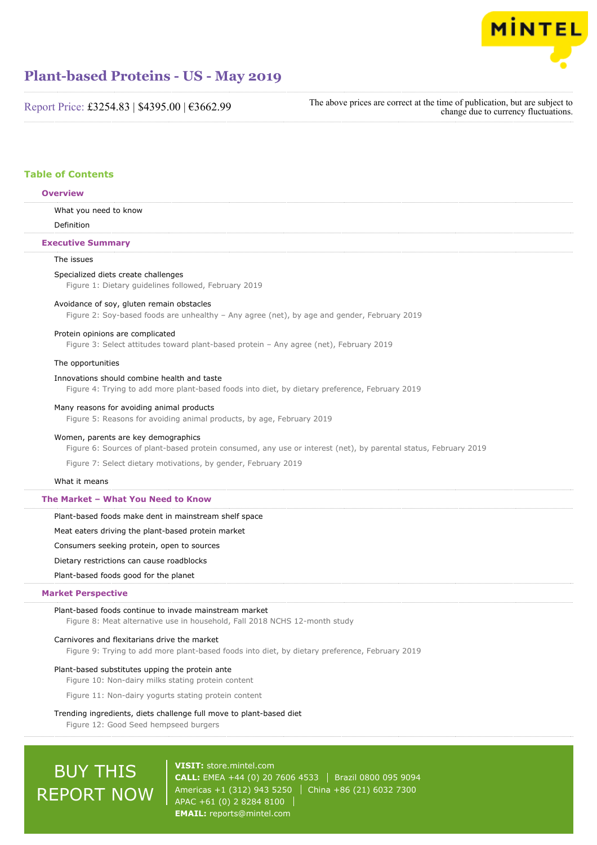

Report Price: £3254.83 | \$4395.00 | €3662.99

The above prices are correct at the time of publication, but are subject to change due to currency fluctuations.

# **Table of Contents**

#### **Overview**

What you need to know

Definition

### **Executive Summary**

## The issues

Specialized diets create challenges

Figure 1: Dietary guidelines followed, February 2019

#### Avoidance of soy, gluten remain obstacles

Figure 2: Soy-based foods are unhealthy – Any agree (net), by age and gender, February 2019

#### Protein opinions are complicated

Figure 3: Select attitudes toward plant-based protein – Any agree (net), February 2019

#### The opportunities

### Innovations should combine health and taste

Figure 4: Trying to add more plant-based foods into diet, by dietary preference, February 2019

#### Many reasons for avoiding animal products

Figure 5: Reasons for avoiding animal products, by age, February 2019

#### Women, parents are key demographics

Figure 6: Sources of plant-based protein consumed, any use or interest (net), by parental status, February 2019 Figure 7: Select dietary motivations, by gender, February 2019

#### What it means

### **The Market – What You Need to Know**

Plant-based foods make dent in mainstream shelf space

Meat eaters driving the plant-based protein market

Consumers seeking protein, open to sources

Dietary restrictions can cause roadblocks

#### Plant-based foods good for the planet

#### **Market Perspective**

#### Plant-based foods continue to invade mainstream market

Figure 8: Meat alternative use in household, Fall 2018 NCHS 12-month study

#### Carnivores and flexitarians drive the market

Figure 9: Trying to add more plant-based foods into diet, by dietary preference, February 2019

#### Plant-based substitutes upping the protein ante

Figure 10: Non-dairy milks stating protein content

Figure 11: Non-dairy yogurts stating protein content

#### Trending ingredients, diets challenge full move to plant-based diet

Figure 12: Good Seed hempseed burgers

# BUY THIS REPORT NOW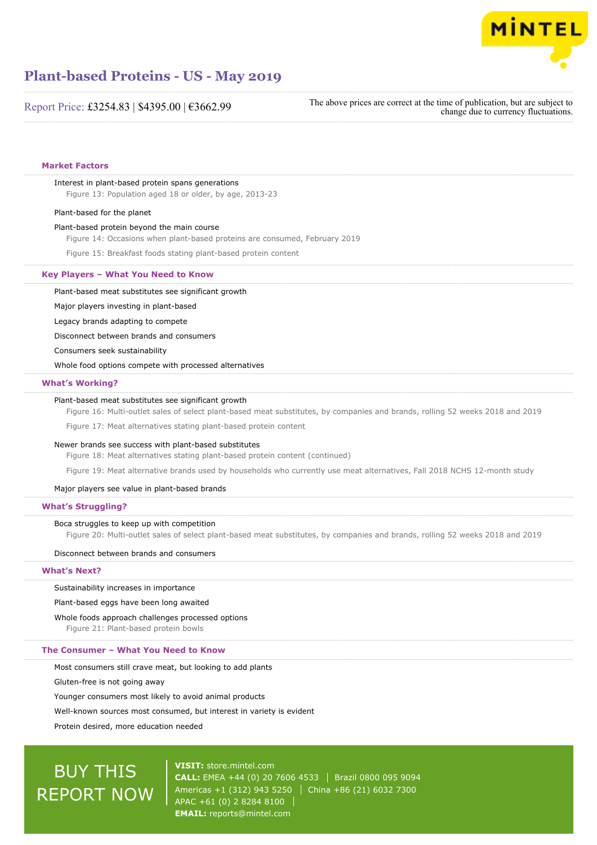

Report Price: £3254.83 | \$4395.00 | €3662.99

The above prices are correct at the time of publication, but are subject to change due to currency fluctuations.

#### **Market Factors**

### Interest in plant-based protein spans generations

Figure 13: Population aged 18 or older, by age, 2013-23

#### Plant-based for the planet

#### Plant-based protein beyond the main course

Figure 14: Occasions when plant-based proteins are consumed, February 2019

Figure 15: Breakfast foods stating plant-based protein content

#### **Key Players – What You Need to Know**

Plant-based meat substitutes see significant growth

Major players investing in plant-based

Legacy brands adapting to compete

Disconnect between brands and consumers

Consumers seek sustainability

Whole food options compete with processed alternatives

#### **What's Working?**

#### Plant-based meat substitutes see significant growth

Figure 16: Multi-outlet sales of select plant-based meat substitutes, by companies and brands, rolling 52 weeks 2018 and 2019

Figure 17: Meat alternatives stating plant-based protein content

#### Newer brands see success with plant-based substitutes

Figure 18: Meat alternatives stating plant-based protein content (continued)

Figure 19: Meat alternative brands used by households who currently use meat alternatives, Fall 2018 NCHS 12-month study

#### Major players see value in plant-based brands

#### **What's Struggling?**

#### Boca struggles to keep up with competition

Figure 20: Multi-outlet sales of select plant-based meat substitutes, by companies and brands, rolling 52 weeks 2018 and 2019

#### Disconnect between brands and consumers

#### **What's Next?**

#### Sustainability increases in importance

Plant-based eggs have been long awaited

Whole foods approach challenges processed options

Figure 21: Plant-based protein bowls

#### **The Consumer – What You Need to Know**

Most consumers still crave meat, but looking to add plants

Gluten-free is not going away

Younger consumers most likely to avoid animal products

Well-known sources most consumed, but interest in variety is evident

Protein desired, more education needed

# BUY THIS REPORT NOW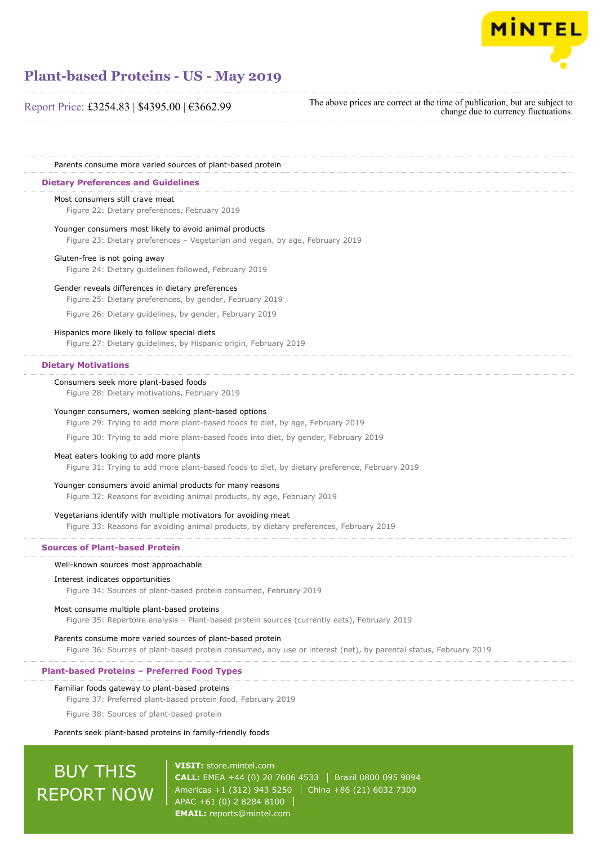

Report Price: £3254.83 | \$4395.00 | €3662.99

The above prices are correct at the time of publication, but are subject to change due to currency fluctuations.

Parents consume more varied sources of plant-based protein

#### **Dietary Preferences and Guidelines**

#### Most consumers still crave meat

Figure 22: Dietary preferences, February 2019

Younger consumers most likely to avoid animal products

Figure 23: Dietary preferences – Vegetarian and vegan, by age, February 2019

#### Gluten-free is not going away

Figure 24: Dietary guidelines followed, February 2019

#### Gender reveals differences in dietary preferences

Figure 25: Dietary preferences, by gender, February 2019

Figure 26: Dietary guidelines, by gender, February 2019

#### Hispanics more likely to follow special diets

Figure 27: Dietary guidelines, by Hispanic origin, February 2019

#### **Dietary Motivations**

#### Consumers seek more plant-based foods

Figure 28: Dietary motivations, February 2019

#### Younger consumers, women seeking plant-based options

Figure 29: Trying to add more plant-based foods to diet, by age, February 2019

Figure 30: Trying to add more plant-based foods into diet, by gender, February 2019

#### Meat eaters looking to add more plants

Figure 31: Trying to add more plant-based foods to diet, by dietary preference, February 2019

#### Younger consumers avoid animal products for many reasons

Figure 32: Reasons for avoiding animal products, by age, February 2019

#### Vegetarians identify with multiple motivators for avoiding meat

Figure 33: Reasons for avoiding animal products, by dietary preferences, February 2019

#### **Sources of Plant-based Protein**

#### Well-known sources most approachable

#### Interest indicates opportunities

Figure 34: Sources of plant-based protein consumed, February 2019

#### Most consume multiple plant-based proteins

Figure 35: Repertoire analysis – Plant-based protein sources (currently eats), February 2019

#### Parents consume more varied sources of plant-based protein

Figure 36: Sources of plant-based protein consumed, any use or interest (net), by parental status, February 2019

## **Plant-based Proteins – Preferred Food Types**

#### Familiar foods gateway to plant-based proteins

Figure 37: Preferred plant-based protein food, February 2019

Figure 38: Sources of plant-based protein

#### Parents seek plant-based proteins in family-friendly foods

# BUY THIS REPORT NOW